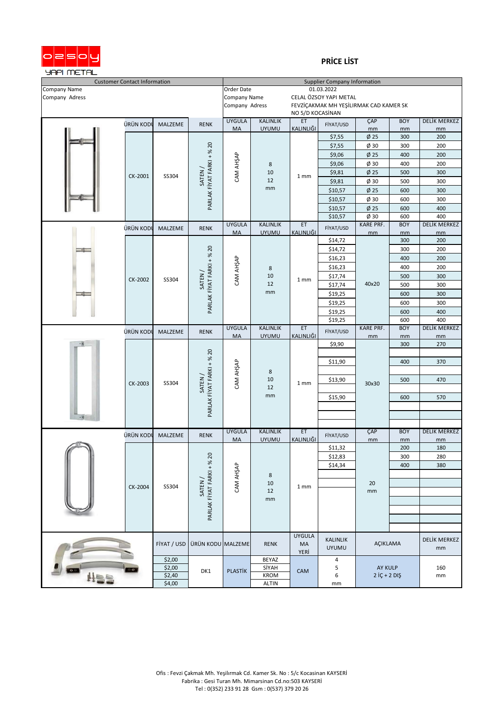

## **PRİCE LİST**

| <b>Customer Contact Information</b> |           |                  |                                     | <b>Supplier Company Information</b> |                                        |                        |                                 |                                    |                    |                           |
|-------------------------------------|-----------|------------------|-------------------------------------|-------------------------------------|----------------------------------------|------------------------|---------------------------------|------------------------------------|--------------------|---------------------------|
| Company Name                        |           |                  | Order Date<br>01.03.2022            |                                     |                                        |                        |                                 |                                    |                    |                           |
| Company Adress                      |           |                  | Company Name                        |                                     | CELAL ÖZSOY YAPI METAL                 |                        |                                 |                                    |                    |                           |
|                                     |           |                  | Company Adress                      |                                     | FEVZİÇAKMAK MH YEŞİLIRMAK CAD KAMER SK |                        |                                 |                                    |                    |                           |
|                                     |           |                  |                                     |                                     | NO 5/D KOCASİNAN                       |                        |                                 |                                    |                    |                           |
|                                     | ÜRÜN KODL | MALZEME          | <b>RENK</b>                         | <b>UYGULA</b>                       | <b>KALINLIK</b>                        | ET                     | FİYAT/USD                       | ÇAP                                | <b>BOY</b>         | DELİK MERKEZ              |
|                                     |           |                  |                                     | MA                                  | <b>UYUMU</b>                           | <b>KALINLIĞI</b>       |                                 | mm                                 | mm                 | mm                        |
|                                     |           |                  |                                     |                                     |                                        |                        | \$7,55                          | $\phi$ 25                          | 300                | 200                       |
|                                     |           |                  |                                     |                                     |                                        |                        | \$7,55                          | Ø 30                               | 300                | 200                       |
|                                     |           |                  | PARLAK FİYAT FARKI + % 20           |                                     |                                        |                        | \$9,06                          | Ø25                                | 400                | 200                       |
|                                     |           |                  |                                     | CAM AHŞAP                           | 8                                      |                        | \$9,06                          | $\phi$ 30                          | 400                | 200                       |
|                                     | CK-2001   | SS304            | SATEN/                              |                                     | 10<br>12                               | 1 mm                   | \$9,81                          | $\phi$ 25                          | 500                | 300                       |
|                                     |           |                  |                                     |                                     | mm                                     |                        | \$9,81                          | Ø 30                               | 500                | 300                       |
|                                     |           |                  |                                     |                                     |                                        |                        | \$10,57                         | $\phi$ 25                          | 600                | 300                       |
|                                     |           |                  |                                     |                                     |                                        |                        | \$10,57                         | $\phi$ 30                          | 600                | 300                       |
|                                     |           |                  |                                     |                                     |                                        |                        | \$10,57                         | Ø25                                | 600                | 400                       |
|                                     |           |                  |                                     |                                     |                                        |                        | \$10,57                         | $\phi$ 30                          | 600<br><b>BOY</b>  | 400                       |
|                                     | ÜRÜN KODI | MALZEME          | <b>RENK</b>                         | <b>UYGULA</b><br>MA                 | <b>KALINLIK</b><br><b>UYUMU</b>        | ET<br>KALINLIĞI        | FİYAT/USD                       | <b>KARE PRF.</b><br>mm             | mm                 | <b>DELİK MERKEZ</b><br>mm |
|                                     |           |                  |                                     |                                     |                                        |                        | \$14,72                         |                                    | 300                | 200                       |
|                                     |           |                  |                                     |                                     |                                        |                        | \$14,72                         |                                    | 300                | 200                       |
|                                     |           |                  | PARLAK FİYAT FARKI + % 20<br>SATEN/ | CAM AHŞAP                           | 8<br>10<br>12<br>mm                    | 1 mm                   | \$16,23                         | 40x20                              | 400                | 200                       |
|                                     |           |                  |                                     |                                     |                                        |                        | \$16,23                         |                                    | 400                | 200                       |
|                                     |           |                  |                                     |                                     |                                        |                        | \$17,74                         |                                    | 500                | 300                       |
|                                     | CK-2002   | SS304            |                                     |                                     |                                        |                        | \$17,74                         |                                    | 500                | 300                       |
|                                     |           |                  |                                     |                                     |                                        |                        | \$19,25                         |                                    | 600                | 300                       |
|                                     |           |                  |                                     |                                     |                                        |                        | \$19,25                         |                                    | 600                | 300                       |
|                                     |           |                  |                                     |                                     |                                        |                        | \$19,25                         |                                    | 600                | 400                       |
|                                     |           |                  |                                     |                                     |                                        |                        | \$19,25                         |                                    | 600                | 400                       |
|                                     |           |                  |                                     | <b>UYGULA</b>                       | <b>KALINLIK</b>                        | ET                     |                                 | KARE PRF.                          | <b>BOY</b>         | <b>DELİK MERKEZ</b>       |
|                                     | ürün kodi | MALZEME          | <b>RENK</b>                         | MA                                  | <b>UYUMU</b>                           | KALINLIĞI              | FİYAT/USD                       | mm                                 | mm                 | mm                        |
|                                     |           |                  |                                     |                                     |                                        | 1 mm                   | \$9,90                          | 30x30                              | 300                | 270                       |
|                                     |           |                  |                                     |                                     |                                        |                        |                                 |                                    |                    |                           |
|                                     |           | SS304            | PARLAK FİYAT FARKI + % 20<br>SATEN/ | CAM AHŞAP                           | 8<br>10<br>12<br>mm                    |                        | \$11,90                         |                                    | 400                | 370                       |
|                                     |           |                  |                                     |                                     |                                        |                        |                                 |                                    |                    |                           |
|                                     | CK-2003   |                  |                                     |                                     |                                        |                        | \$13,90                         |                                    | 500                | 470                       |
|                                     |           |                  |                                     |                                     |                                        |                        |                                 |                                    |                    |                           |
|                                     |           |                  |                                     |                                     |                                        |                        | \$15,90                         |                                    | 600                | 570                       |
|                                     |           |                  |                                     |                                     |                                        |                        |                                 |                                    |                    |                           |
|                                     |           |                  |                                     |                                     |                                        |                        |                                 |                                    |                    |                           |
|                                     |           |                  |                                     |                                     |                                        |                        |                                 |                                    |                    |                           |
|                                     | ürün kodl | MALZEME          | <b>RENK</b>                         | <b>UYGULA</b><br>MA                 | <b>KALINLIK</b><br><b>UYUMU</b>        | ET<br><b>KALINLIĞI</b> | FİYAT/USD                       | ÇAP<br>mm                          | <b>BOY</b><br>mm   | <b>DELİK MERKEZ</b><br>mm |
|                                     |           |                  |                                     |                                     |                                        |                        | \$11,32                         |                                    | 200                | 180                       |
|                                     |           |                  |                                     |                                     |                                        |                        | \$12,83                         |                                    | 300                | 280                       |
|                                     |           |                  |                                     |                                     | 8<br>10<br>12                          |                        | \$14,34                         |                                    | 400                | 380                       |
|                                     |           |                  |                                     |                                     |                                        |                        |                                 | 20<br>mm                           |                    |                           |
|                                     |           | SS304            | PARLAK FİYAT FARKI + % 20<br>SATEN/ | CAM AH <sub>SAP</sub>               |                                        | 1 mm                   |                                 |                                    |                    |                           |
|                                     | CK-2004   |                  |                                     |                                     |                                        |                        |                                 |                                    |                    |                           |
|                                     |           |                  |                                     |                                     | $\mathsf{mm}$                          |                        |                                 |                                    |                    |                           |
|                                     |           |                  |                                     |                                     |                                        |                        |                                 |                                    |                    |                           |
|                                     |           |                  |                                     |                                     |                                        |                        |                                 |                                    |                    |                           |
|                                     |           |                  |                                     |                                     |                                        |                        |                                 |                                    |                    |                           |
|                                     |           |                  |                                     |                                     |                                        | <b>UYGULA</b>          |                                 |                                    |                    |                           |
|                                     |           | FİYAT / USD      | ÜRÜN KODU MALZEME                   |                                     | <b>RENK</b>                            | MA                     | <b>KALINLIK</b><br><b>UYUMU</b> | AÇIKLAMA                           | DELİK MERKEZ<br>mm |                           |
|                                     |           |                  |                                     |                                     |                                        | YERİ                   |                                 |                                    |                    |                           |
|                                     |           | \$2,00           |                                     |                                     | BEYAZ                                  |                        | 4                               |                                    |                    |                           |
|                                     |           | \$2,00<br>\$2,40 | DK1                                 | <b>PLASTIK</b>                      | SİYAH<br>KROM                          | <b>CAM</b>             | 5<br>6                          | <b>AY KULP</b><br>$2$ İÇ + $2$ DIŞ |                    | 160                       |
|                                     |           | \$4,00           |                                     |                                     | <b>ALTIN</b>                           |                        | mm                              |                                    |                    | mm                        |
|                                     |           |                  |                                     |                                     |                                        |                        |                                 |                                    |                    |                           |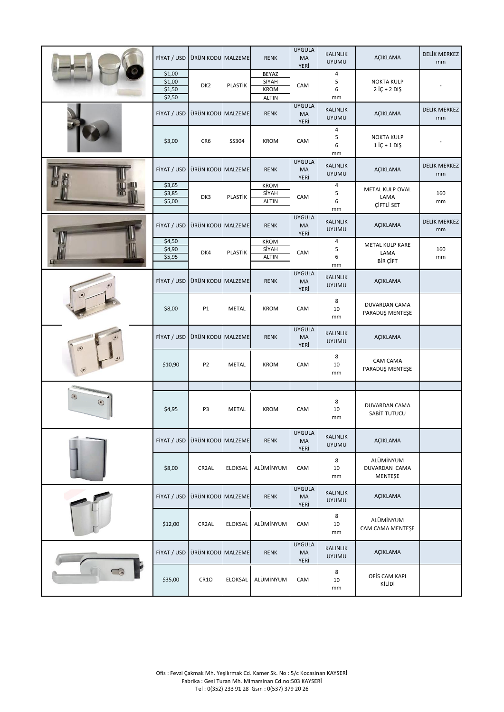|                                     | FİYAT / USD                          | ÜRÜN KODU MALZEME  |                | <b>RENK</b>                                   | <b>UYGULA</b><br>MA<br>YERİ | <b>KALINLIK</b><br><b>UYUMU</b> | AÇIKLAMA                              | DELİK MERKEZ<br>mm        |
|-------------------------------------|--------------------------------------|--------------------|----------------|-----------------------------------------------|-----------------------------|---------------------------------|---------------------------------------|---------------------------|
|                                     | \$1,00<br>\$1,00<br>\$1,50<br>\$2,50 | DK <sub>2</sub>    | PLASTIK        | BEYAZ<br>SİYAH<br><b>KROM</b><br><b>ALTIN</b> | CAM                         | 4<br>5<br>6<br>mm               | <b>NOKTA KULP</b><br>$2$ İÇ + $2$ DIŞ |                           |
|                                     | FİYAT / USD                          | ÜRÜN KODU MALZEME  |                | <b>RENK</b>                                   | <b>UYGULA</b><br>MA<br>YERİ | <b>KALINLIK</b><br><b>UYUMU</b> | AÇIKLAMA                              | <b>DELİK MERKEZ</b><br>mm |
|                                     | \$3,00                               | CR6                | SS304          | <b>KROM</b>                                   | CAM                         | 4<br>5<br>6<br>mm               | <b>NOKTA KULP</b><br>$1$ İÇ + $1$ DIŞ |                           |
|                                     | FİYAT / USD                          | ÜRÜN KODU MALZEME  |                | <b>RENK</b>                                   | <b>UYGULA</b><br>MA<br>YERİ | <b>KALINLIK</b><br><b>UYUMU</b> | AÇIKLAMA                              | DELİK MERKEZ<br>mm        |
|                                     | \$3,65<br>\$3,85<br>\$5,00           | DK3                | PLASTIK        | <b>KROM</b><br>SİYAH<br><b>ALTIN</b>          | CAM                         | 4<br>5<br>6<br>mm               | METAL KULP OVAL<br>LAMA<br>ÇİFTLİ SET | 160<br>mm                 |
|                                     | FİYAT / USD                          | ÜRÜN KODU MALZEME  |                | <b>RENK</b>                                   | <b>UYGULA</b><br>MA<br>YERİ | <b>KALINLIK</b><br><b>UYUMU</b> | AÇIKLAMA                              | DELİK MERKEZ<br>mm        |
|                                     | \$4,50<br>\$4,90<br>\$5,95           | DK4                | PLASTIK        | <b>KROM</b><br>SİYAH<br><b>ALTIN</b>          | CAM                         | 4<br>5<br>6<br>mm               | METAL KULP KARE<br>LAMA<br>BİR ÇİFT   | 160<br>mm                 |
|                                     | FİYAT / USD                          | ÜRÜN KODU MALZEME  |                | <b>RENK</b>                                   | <b>UYGULA</b><br>MA<br>YERİ | <b>KALINLIK</b><br><b>UYUMU</b> | <b>AÇIKLAMA</b>                       |                           |
|                                     | \$8,00                               | P1                 | <b>METAL</b>   | <b>KROM</b>                                   | CAM                         | 8<br>10<br>mm                   | DUVARDAN CAMA<br>PARADUŞ MENTEŞE      |                           |
| ۳                                   | FİYAT / USD                          | ÜRÜN KODU MALZEME  |                | <b>RENK</b>                                   | <b>UYGULA</b><br>MA<br>YERİ | <b>KALINLIK</b><br><b>UYUMU</b> | AÇIKLAMA                              |                           |
|                                     | \$10,90                              | P <sub>2</sub>     | <b>METAL</b>   | <b>KROM</b>                                   | CAM                         | 8<br>10<br>mm                   | CAM CAMA<br>PARADUŞ MENTEŞE           |                           |
| $\odot$<br>$\left( \bullet \right)$ | \$4,95                               | P3                 | <b>METAL</b>   | <b>KROM</b>                                   | CAM                         | 8<br>10<br>mm                   | <b>DUVARDAN CAMA</b><br>SABIT TUTUCU  |                           |
|                                     | FİYAT / USD                          | ÜRÜN KODU MALZEME  |                | <b>RENK</b>                                   | <b>UYGULA</b><br>MA<br>YERİ | <b>KALINLIK</b><br><b>UYUMU</b> | AÇIKLAMA                              |                           |
|                                     | \$8,00                               | CR <sub>2</sub> AL | <b>ELOKSAL</b> | ALÜMİNYUM                                     | CAM                         | 8<br>10<br>mm                   | ALÜMİNYUM<br>DUVARDAN CAMA<br>MENTEŞE |                           |
|                                     | FİYAT / USD                          | ÜRÜN KODU MALZEME  |                | <b>RENK</b>                                   | <b>UYGULA</b><br>MA<br>YERİ | <b>KALINLIK</b><br><b>UYUMU</b> | AÇIKLAMA                              |                           |
|                                     | \$12,00                              | CR <sub>2</sub> AL | <b>ELOKSAL</b> | ALÜMİNYUM                                     | CAM                         | 8<br>10<br>mm                   | ALÜMİNYUM<br>CAM CAMA MENTEŞE         |                           |
|                                     | FİYAT / USD                          | ÜRÜN KODU MALZEME  |                | <b>RENK</b>                                   | <b>UYGULA</b><br>MA<br>YERİ | <b>KALINLIK</b><br><b>UYUMU</b> | AÇIKLAMA                              |                           |
|                                     | \$35,00                              | CR1O               | <b>ELOKSAL</b> | ALÜMİNYUM                                     | CAM                         | 8<br>10<br>mm                   | OFİS CAM KAPI<br>KİLİDİ               |                           |